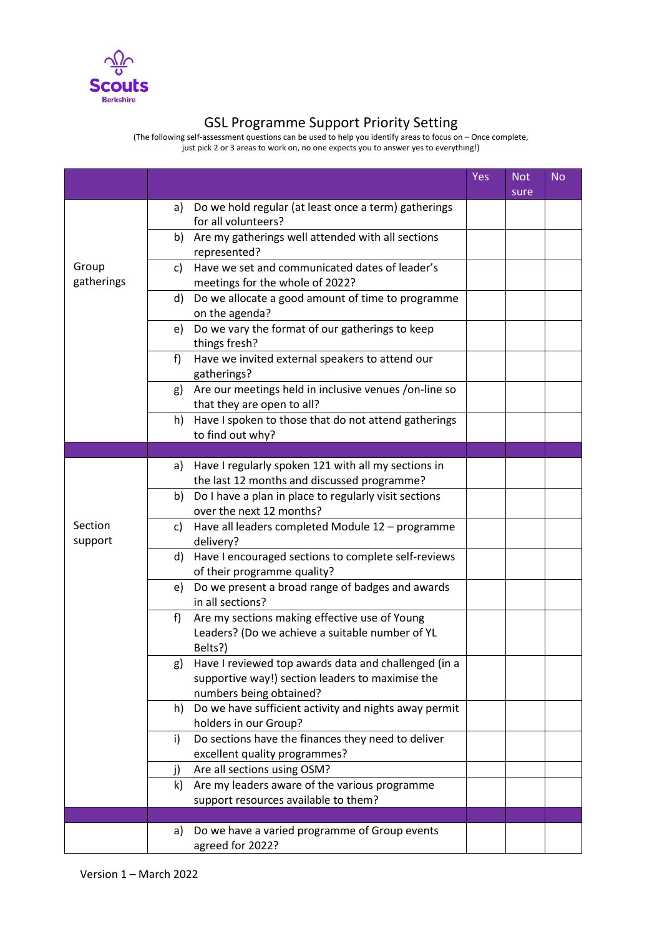

## GSL Programme Support Priority Setting

(The following self-assessment questions can be used to help you identify areas to focus on – Once complete, just pick 2 or 3 areas to work on, no one expects you to answer yes to everything!)

|                     |                                                                                                                                           | Yes | <b>Not</b><br>sure | <b>No</b> |
|---------------------|-------------------------------------------------------------------------------------------------------------------------------------------|-----|--------------------|-----------|
| Group<br>gatherings | Do we hold regular (at least once a term) gatherings<br>a)<br>for all volunteers?                                                         |     |                    |           |
|                     | Are my gatherings well attended with all sections<br>b)<br>represented?                                                                   |     |                    |           |
|                     | Have we set and communicated dates of leader's<br>c)<br>meetings for the whole of 2022?                                                   |     |                    |           |
|                     | d)<br>Do we allocate a good amount of time to programme<br>on the agenda?                                                                 |     |                    |           |
|                     | Do we vary the format of our gatherings to keep<br>e)<br>things fresh?                                                                    |     |                    |           |
|                     | f<br>Have we invited external speakers to attend our<br>gatherings?                                                                       |     |                    |           |
|                     | Are our meetings held in inclusive venues /on-line so<br>g)<br>that they are open to all?                                                 |     |                    |           |
|                     | Have I spoken to those that do not attend gatherings<br>h)<br>to find out why?                                                            |     |                    |           |
|                     |                                                                                                                                           |     |                    |           |
| Section<br>support  | Have I regularly spoken 121 with all my sections in<br>a)<br>the last 12 months and discussed programme?                                  |     |                    |           |
|                     | Do I have a plan in place to regularly visit sections<br>b)<br>over the next 12 months?                                                   |     |                    |           |
|                     | Have all leaders completed Module 12 - programme<br>C)<br>delivery?                                                                       |     |                    |           |
|                     | Have I encouraged sections to complete self-reviews<br>d)<br>of their programme quality?                                                  |     |                    |           |
|                     | Do we present a broad range of badges and awards<br>e)<br>in all sections?                                                                |     |                    |           |
|                     | Are my sections making effective use of Young<br>f)<br>Leaders? (Do we achieve a suitable number of YL<br>Belts?)                         |     |                    |           |
|                     | Have I reviewed top awards data and challenged (in a<br>g)<br>supportive way!) section leaders to maximise the<br>numbers being obtained? |     |                    |           |
|                     | Do we have sufficient activity and nights away permit<br>h)<br>holders in our Group?                                                      |     |                    |           |
|                     | Do sections have the finances they need to deliver<br>i)<br>excellent quality programmes?                                                 |     |                    |           |
|                     | Are all sections using OSM?<br>j)                                                                                                         |     |                    |           |
|                     | Are my leaders aware of the various programme<br>k)<br>support resources available to them?                                               |     |                    |           |
|                     |                                                                                                                                           |     |                    |           |
|                     | Do we have a varied programme of Group events<br>a)<br>agreed for 2022?                                                                   |     |                    |           |